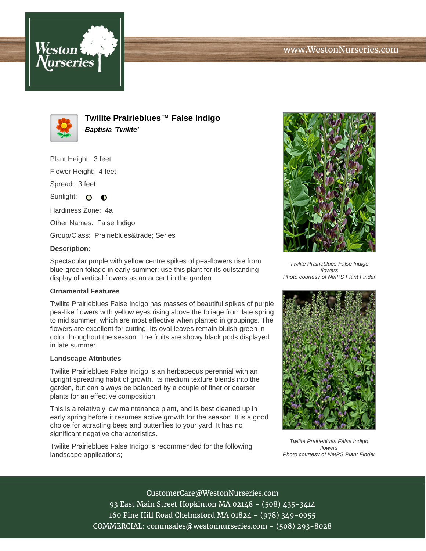



**Twilite Prairieblues™ False Indigo Baptisia 'Twilite'**

Plant Height: 3 feet

Flower Height: 4 feet

Spread: 3 feet

Sunlight:  $\Omega$  $\bullet$ 

Hardiness Zone: 4a

Other Names: False Indigo

Group/Class: Prairieblues™ Series

## **Description:**

Spectacular purple with yellow centre spikes of pea-flowers rise from blue-green foliage in early summer; use this plant for its outstanding display of vertical flowers as an accent in the garden

## **Ornamental Features**

Twilite Prairieblues False Indigo has masses of beautiful spikes of purple pea-like flowers with yellow eyes rising above the foliage from late spring to mid summer, which are most effective when planted in groupings. The flowers are excellent for cutting. Its oval leaves remain bluish-green in color throughout the season. The fruits are showy black pods displayed in late summer.

## **Landscape Attributes**

Twilite Prairieblues False Indigo is an herbaceous perennial with an upright spreading habit of growth. Its medium texture blends into the garden, but can always be balanced by a couple of finer or coarser plants for an effective composition.

This is a relatively low maintenance plant, and is best cleaned up in early spring before it resumes active growth for the season. It is a good choice for attracting bees and butterflies to your yard. It has no significant negative characteristics.

Twilite Prairieblues False Indigo is recommended for the following landscape applications;



Twilite Prairieblues False Indigo flowers Photo courtesy of NetPS Plant Finder



Twilite Prairieblues False Indigo flowers Photo courtesy of NetPS Plant Finder

CustomerCare@WestonNurseries.com 93 East Main Street Hopkinton MA 02148 - (508) 435-3414 160 Pine Hill Road Chelmsford MA 01824 - (978) 349-0055 COMMERCIAL: commsales@westonnurseries.com - (508) 293-8028